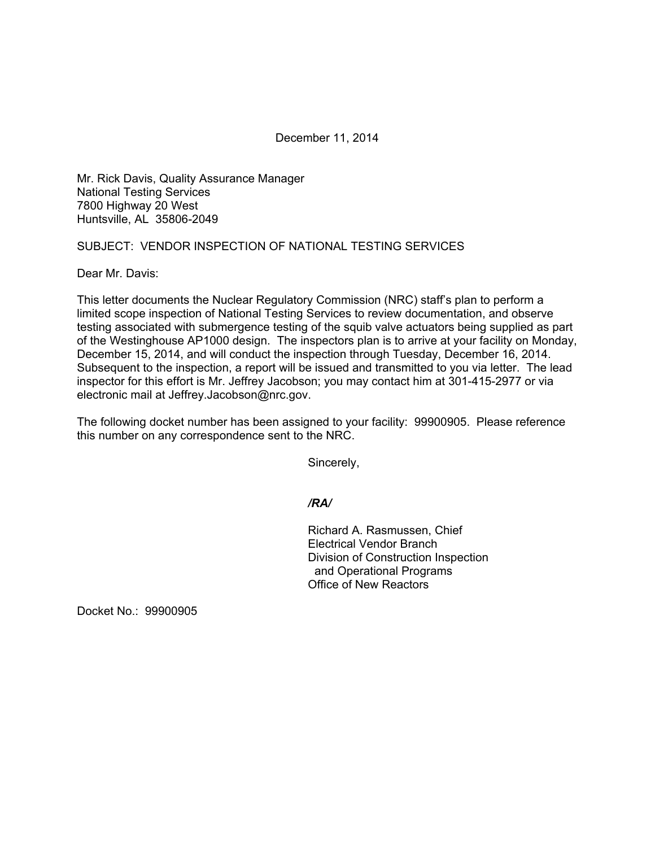December 11, 2014

Mr. Rick Davis, Quality Assurance Manager National Testing Services 7800 Highway 20 West Huntsville, AL 35806-2049

## SUBJECT: VENDOR INSPECTION OF NATIONAL TESTING SERVICES

Dear Mr. Davis:

This letter documents the Nuclear Regulatory Commission (NRC) staff's plan to perform a limited scope inspection of National Testing Services to review documentation, and observe testing associated with submergence testing of the squib valve actuators being supplied as part of the Westinghouse AP1000 design. The inspectors plan is to arrive at your facility on Monday, December 15, 2014, and will conduct the inspection through Tuesday, December 16, 2014. Subsequent to the inspection, a report will be issued and transmitted to you via letter. The lead inspector for this effort is Mr. Jeffrey Jacobson; you may contact him at 301-415-2977 or via electronic mail at Jeffrey.Jacobson@nrc.gov.

The following docket number has been assigned to your facility: 99900905. Please reference this number on any correspondence sent to the NRC.

Sincerely,

*/RA/* 

Richard A. Rasmussen, Chief Electrical Vendor Branch Division of Construction Inspection and Operational Programs Office of New Reactors

Docket No.: 99900905